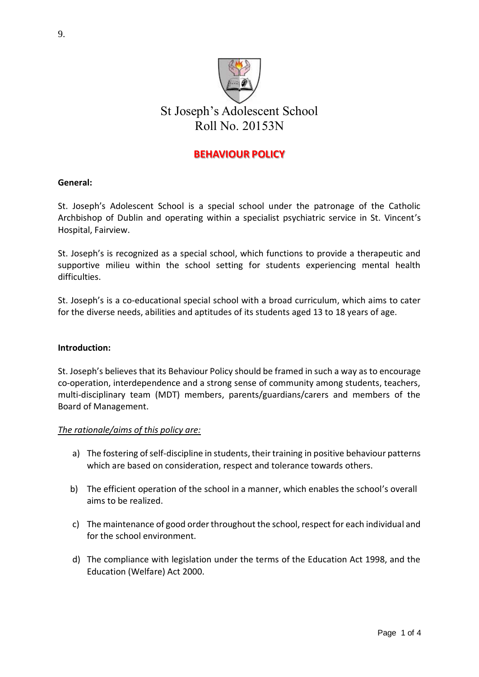

# **BEHAVIOUR POLICY**

### **General:**

St. Joseph's Adolescent School is a special school under the patronage of the Catholic Archbishop of Dublin and operating within a specialist psychiatric service in St. Vincent's Hospital, Fairview.

St. Joseph's is recognized as a special school, which functions to provide a therapeutic and supportive milieu within the school setting for students experiencing mental health difficulties.

St. Joseph's is a co-educational special school with a broad curriculum, which aims to cater for the diverse needs, abilities and aptitudes of its students aged 13 to 18 years of age.

### **Introduction:**

St. Joseph's believes that its Behaviour Policy should be framed in such a way as to encourage co-operation, interdependence and a strong sense of community among students, teachers, multi-disciplinary team (MDT) members, parents/guardians/carers and members of the Board of Management.

### *The rationale/aims of this policy are:*

- a) The fostering of self-discipline in students, their training in positive behaviour patterns which are based on consideration, respect and tolerance towards others.
- b) The efficient operation of the school in a manner, which enables the school's overall aims to be realized.
- c) The maintenance of good order throughout the school, respect for each individual and for the school environment.
- d) The compliance with legislation under the terms of the Education Act 1998, and the Education (Welfare) Act 2000.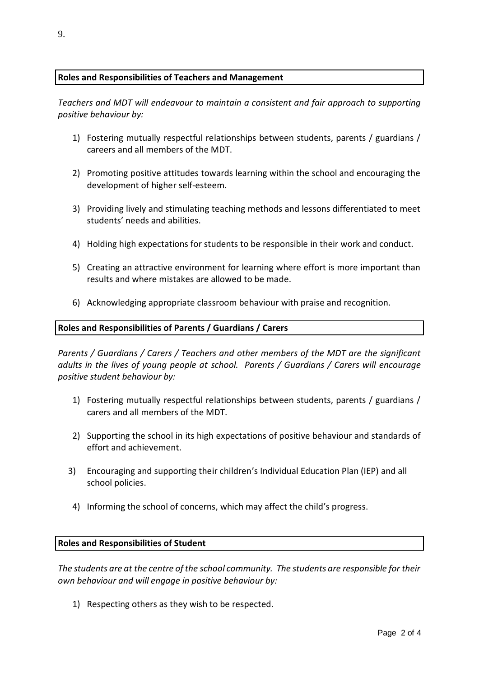## **Roles and Responsibilities of Teachers and Management**

*Teachers and MDT will endeavour to maintain a consistent and fair approach to supporting positive behaviour by:*

- 1) Fostering mutually respectful relationships between students, parents / guardians / careers and all members of the MDT.
- 2) Promoting positive attitudes towards learning within the school and encouraging the development of higher self-esteem.
- 3) Providing lively and stimulating teaching methods and lessons differentiated to meet students' needs and abilities.
- 4) Holding high expectations for students to be responsible in their work and conduct.
- 5) Creating an attractive environment for learning where effort is more important than results and where mistakes are allowed to be made.
- 6) Acknowledging appropriate classroom behaviour with praise and recognition.

#### **Roles and Responsibilities of Parents / Guardians / Carers**

*Parents / Guardians / Carers / Teachers and other members of the MDT are the significant adults in the lives of young people at school. Parents / Guardians / Carers will encourage positive student behaviour by:*

- 1) Fostering mutually respectful relationships between students, parents / guardians / carers and all members of the MDT.
- 2) Supporting the school in its high expectations of positive behaviour and standards of effort and achievement.
- 3) Encouraging and supporting their children's Individual Education Plan (IEP) and all school policies.
- 4) Informing the school of concerns, which may affect the child's progress.

#### **Roles and Responsibilities of Student**

*The students are at the centre of the school community. The students are responsible for their own behaviour and will engage in positive behaviour by:*

1) Respecting others as they wish to be respected.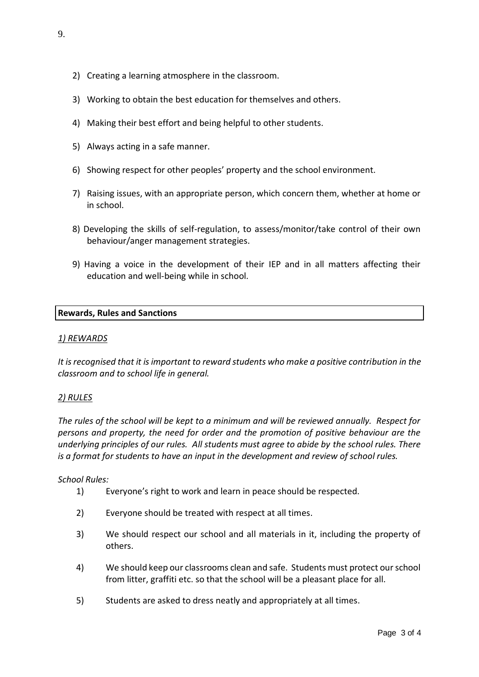- 2) Creating a learning atmosphere in the classroom.
- 3) Working to obtain the best education for themselves and others.
- 4) Making their best effort and being helpful to other students.
- 5) Always acting in a safe manner.
- 6) Showing respect for other peoples' property and the school environment.
- 7) Raising issues, with an appropriate person, which concern them, whether at home or in school.
- 8) Developing the skills of self-regulation, to assess/monitor/take control of their own behaviour/anger management strategies.
- 9) Having a voice in the development of their IEP and in all matters affecting their education and well-being while in school.

### **Rewards, Rules and Sanctions**

### *1) REWARDS*

*It is recognised that it is important to reward students who make a positive contribution in the classroom and to school life in general.* 

### *2) RULES*

*The rules of the school will be kept to a minimum and will be reviewed annually. Respect for persons and property, the need for order and the promotion of positive behaviour are the underlying principles of our rules. All students must agree to abide by the school rules. There is a format for students to have an input in the development and review of school rules.* 

*School Rules:* 

- 1) Everyone's right to work and learn in peace should be respected.
- 2) Everyone should be treated with respect at all times.
- 3) We should respect our school and all materials in it, including the property of others.
- 4) We should keep our classrooms clean and safe. Students must protect our school from litter, graffiti etc. so that the school will be a pleasant place for all.
- 5) Students are asked to dress neatly and appropriately at all times.